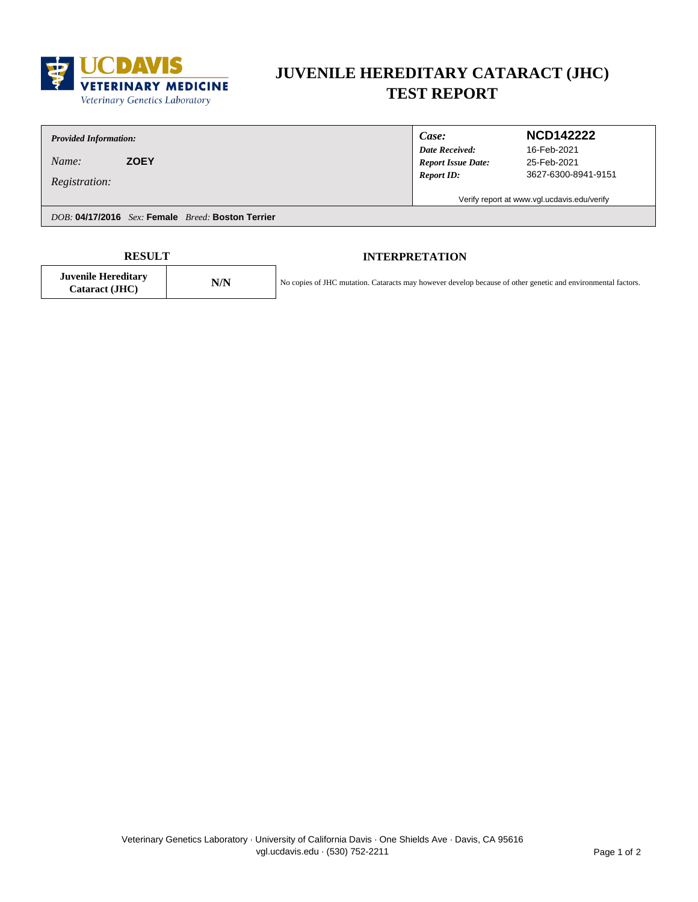

# **JUVENILE HEREDITARY CATARACT (JHC) TEST REPORT**

| <b>Provided Information:</b>                      | Case:                     | <b>NCD142222</b>                            |  |
|---------------------------------------------------|---------------------------|---------------------------------------------|--|
|                                                   | <b>Date Received:</b>     | 16-Feb-2021                                 |  |
| <b>ZOEY</b><br>Name:                              | <b>Report Issue Date:</b> | 25-Feb-2021                                 |  |
| <i>Registration:</i>                              | <b>Report ID:</b>         | 3627-6300-8941-9151                         |  |
|                                                   |                           | Verify report at www.vgl.ucdavis.edu/verify |  |
| DOB: 04/17/2016 Sex: Female Breed: Boston Terrier |                           |                                             |  |
|                                                   |                           |                                             |  |

**Cataract (JHC) N/N**

**Juvenile Hereditary**

Г

### **RESULT INTERPRETATION**

No copies of JHC mutation. Cataracts may however develop because of other genetic and environmental factors.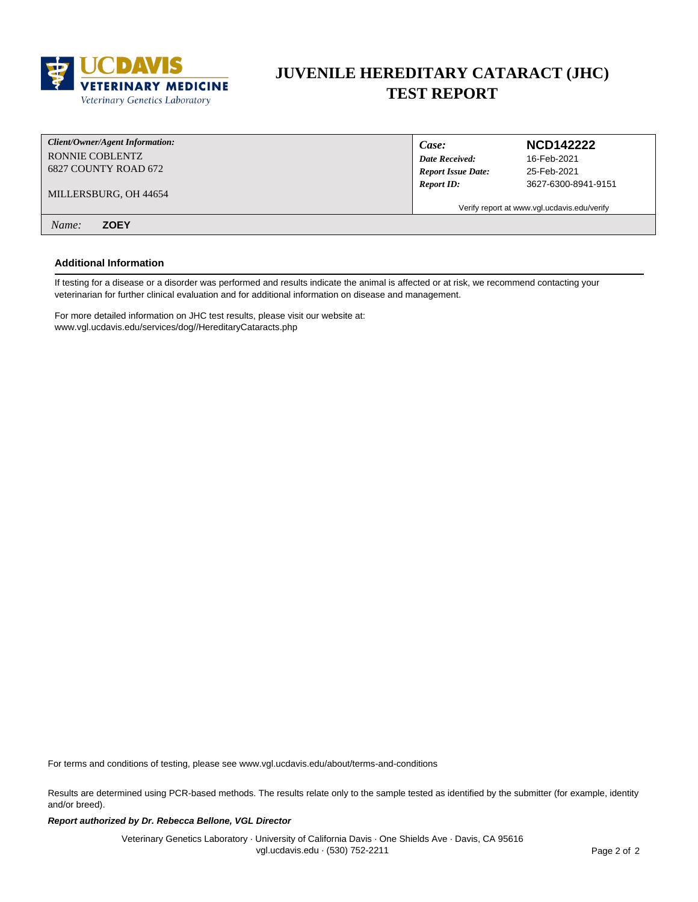

### **JUVENILE HEREDITARY CATARACT (JHC) TEST REPORT**

| Client/Owner/Agent Information: | Case:                                       | <b>NCD142222</b>    |
|---------------------------------|---------------------------------------------|---------------------|
| RONNIE COBLENTZ                 | <b>Date Received:</b>                       | 16-Feb-2021         |
| 6827 COUNTY ROAD 672            | <b>Report Issue Date:</b>                   | 25-Feb-2021         |
| MILLERSBURG, OH 44654           | <b>Report ID:</b>                           | 3627-6300-8941-9151 |
|                                 | Verify report at www.vgl.ucdavis.edu/verify |                     |
| <b>ZOEY</b><br>Name:            |                                             |                     |

#### **Additional Information**

If testing for a disease or a disorder was performed and results indicate the animal is affected or at risk, we recommend contacting your veterinarian for further clinical evaluation and for additional information on disease and management.

For more detailed information on JHC test results, please visit our website at: www.vgl.ucdavis.edu/services/dog//HereditaryCataracts.php

For terms and conditions of testing, please see www.vgl.ucdavis.edu/about/terms-and-conditions

Results are determined using PCR-based methods. The results relate only to the sample tested as identified by the submitter (for example, identity and/or breed).

#### **Report authorized by Dr. Rebecca Bellone, VGL Director**

Veterinary Genetics Laboratory · University of California Davis · One Shields Ave · Davis, CA 95616 vgl.ucdavis.edu · (530) 752-2211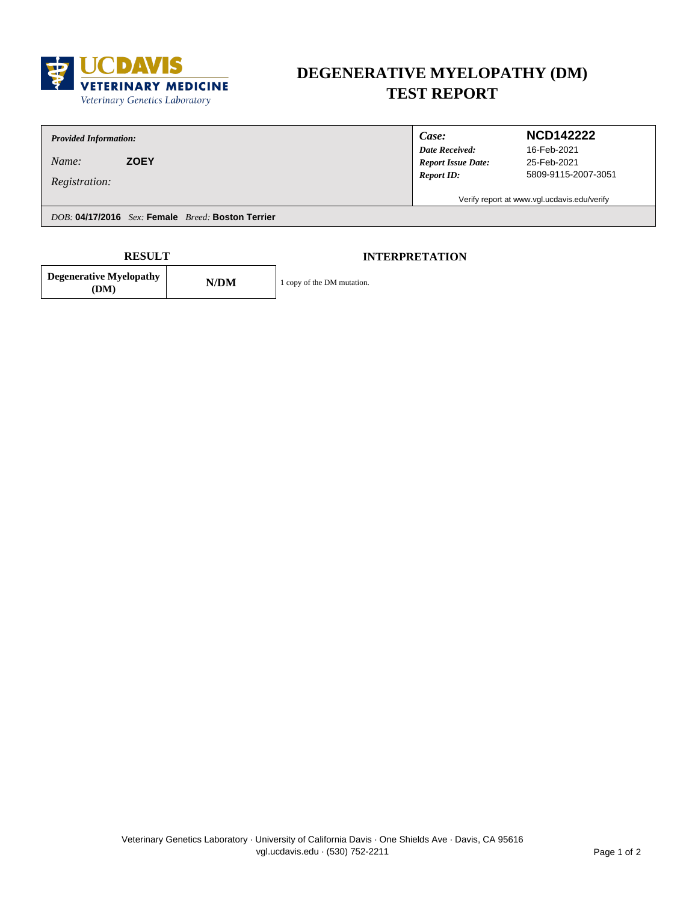

# **DEGENERATIVE MYELOPATHY (DM) TEST REPORT**

*Provided Information:*

**Degenerative Myelopathy**

*Name:* **ZOEY**

*Registration:*

*Case:*

*Date Received: Report ID: Report Issue Date:*

### **NCD142222**

25-Feb-2021 5809-9115-2007-3051 16-Feb-2021

Verify report at www.vgl.ucdavis.edu/verify

*DOB:* **04/17/2016** *Sex:* **Female** *Breed:* **Boston Terrier**

**(DM) N/DM** 

1 copy of the DM mutation.

**RESULT INTERPRETATION**

Veterinary Genetics Laboratory · University of California Davis · One Shields Ave · Davis, CA 95616 vgl.ucdavis.edu · (530) 752-2211 **Page 1 of 2**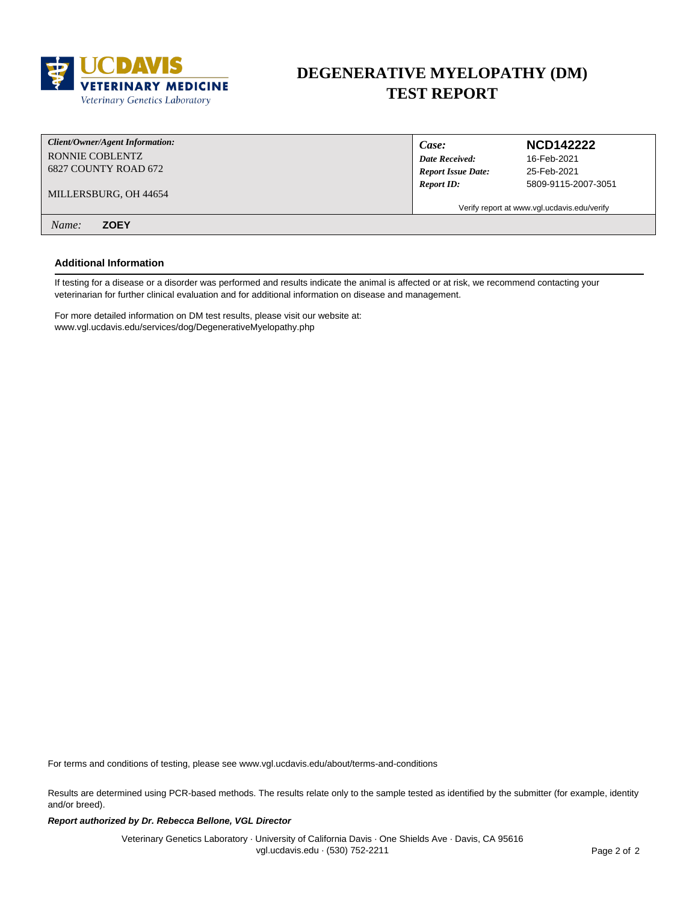

### **DEGENERATIVE MYELOPATHY (DM) TEST REPORT**

| Client/Owner/Agent Information: | Case:                                       | <b>NCD142222</b>    |
|---------------------------------|---------------------------------------------|---------------------|
| RONNIE COBLENTZ                 | <b>Date Received:</b>                       | 16-Feb-2021         |
| 6827 COUNTY ROAD 672            | <b>Report Issue Date:</b>                   | 25-Feb-2021         |
| MILLERSBURG, OH 44654           | <b>Report ID:</b>                           | 5809-9115-2007-3051 |
|                                 | Verify report at www.vgl.ucdavis.edu/verify |                     |
| <b>ZOEY</b><br>Name:            |                                             |                     |

#### **Additional Information**

If testing for a disease or a disorder was performed and results indicate the animal is affected or at risk, we recommend contacting your veterinarian for further clinical evaluation and for additional information on disease and management.

For more detailed information on DM test results, please visit our website at: www.vgl.ucdavis.edu/services/dog/DegenerativeMyelopathy.php

For terms and conditions of testing, please see www.vgl.ucdavis.edu/about/terms-and-conditions

Results are determined using PCR-based methods. The results relate only to the sample tested as identified by the submitter (for example, identity and/or breed).

#### **Report authorized by Dr. Rebecca Bellone, VGL Director**

Veterinary Genetics Laboratory · University of California Davis · One Shields Ave · Davis, CA 95616 vgl.ucdavis.edu · (530) 752-2211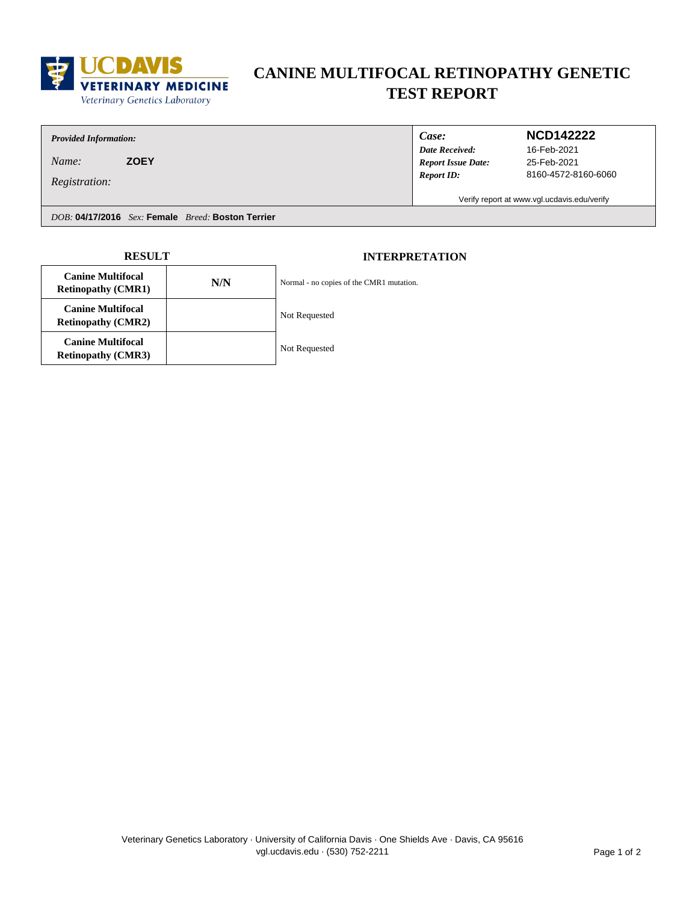

# **CANINE MULTIFOCAL RETINOPATHY GENETIC TEST REPORT**

*Provided Information:*

*Name:* **ZOEY**

*Registration:*

*Case:*

*Date Received: Report ID: Report Issue Date:*

### **NCD142222**

25-Feb-2021 8160-4572-8160-6060 16-Feb-2021

Verify report at www.vgl.ucdavis.edu/verify

*DOB:* **04/17/2016** *Sex:* **Female** *Breed:* **Boston Terrier**

| <b>RESULT</b>                                         |     | <b>INTERPRETATION</b>                    |
|-------------------------------------------------------|-----|------------------------------------------|
| <b>Canine Multifocal</b><br><b>Retinopathy (CMR1)</b> | N/N | Normal - no copies of the CMR1 mutation. |
| <b>Canine Multifocal</b><br><b>Retinopathy (CMR2)</b> |     | Not Requested                            |
| <b>Canine Multifocal</b><br><b>Retinopathy (CMR3)</b> |     | Not Requested                            |